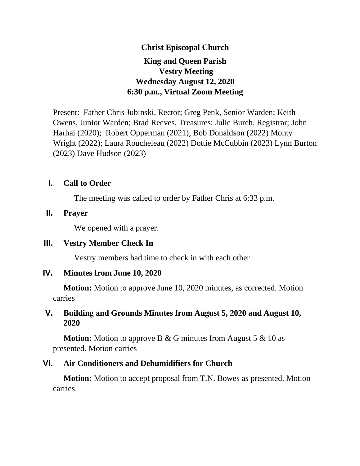# **Christ Episcopal Church King and Queen Parish Vestry Meeting Wednesday August 12, 2020 6:30 p.m., Virtual Zoom Meeting**

Present: Father Chris Jubinski, Rector; Greg Penk, Senior Warden; Keith Owens, Junior Warden; Brad Reeves, Treasures; Julie Burch, Registrar; John Harhai (2020); Robert Opperman (2021); Bob Donaldson (2022) Monty Wright (2022); Laura Roucheleau (2022) Dottie McCubbin (2023) Lynn Burton (2023) Dave Hudson (2023)

## **I. Call to Order**

The meeting was called to order by Father Chris at 6:33 p.m.

### **II. Prayer**

We opened with a prayer.

## **III. Vestry Member Check In**

Vestry members had time to check in with each other

## **IV. Minutes from June 10, 2020**

**Motion:** Motion to approve June 10, 2020 minutes, as corrected. Motion carries

# **V. Building and Grounds Minutes from August 5, 2020 and August 10, 2020**

**Motion:** Motion to approve B & G minutes from August 5 & 10 as presented. Motion carries

## **VI. Air Conditioners and Dehumidifiers for Church**

**Motion:** Motion to accept proposal from T.N. Bowes as presented. Motion carries